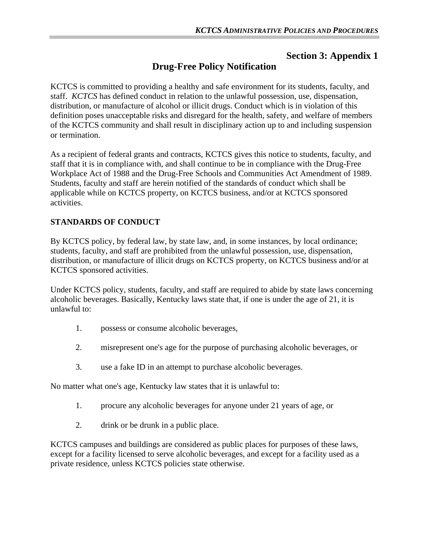## **Section 3: Appendix 1**

# **Drug-Free Policy Notification**

KCTCS is committed to providing a healthy and safe environment for its students, faculty, and staff. *KCTCS* has defined conduct in relation to the unlawful possession, use, dispensation, distribution, or manufacture of alcohol or illicit drugs. Conduct which is in violation of this definition poses unacceptable risks and disregard for the health, safety, and welfare of members of the KCTCS community and shall result in disciplinary action up to and including suspension or termination.

As a recipient of federal grants and contracts, KCTCS gives this notice to students, faculty, and staff that it is in compliance with, and shall continue to be in compliance with the Drug-Free Workplace Act of 1988 and the Drug-Free Schools and Communities Act Amendment of 1989. Students, faculty and staff are herein notified of the standards of conduct which shall be applicable while on KCTCS property, on KCTCS business, and/or at KCTCS sponsored activities.

#### **STANDARDS OF CONDUCT**

By KCTCS policy, by federal law, by state law, and, in some instances, by local ordinance; students, faculty, and staff are prohibited from the unlawful possession, use, dispensation, distribution, or manufacture of illicit drugs on KCTCS property, on KCTCS business and/or at KCTCS sponsored activities.

Under KCTCS policy, students, faculty, and staff are required to abide by state laws concerning alcoholic beverages. Basically, Kentucky laws state that, if one is under the age of 21, it is unlawful to:

- 1. possess or consume alcoholic beverages,
- 2. misrepresent one's age for the purpose of purchasing alcoholic beverages, or
- 3. use a fake ID in an attempt to purchase alcoholic beverages.

No matter what one's age, Kentucky law states that it is unlawful to:

- 1. procure any alcoholic beverages for anyone under 21 years of age, or
- 2. drink or be drunk in a public place.

KCTCS campuses and buildings are considered as public places for purposes of these laws, except for a facility licensed to serve alcoholic beverages, and except for a facility used as a private residence, unless KCTCS policies state otherwise.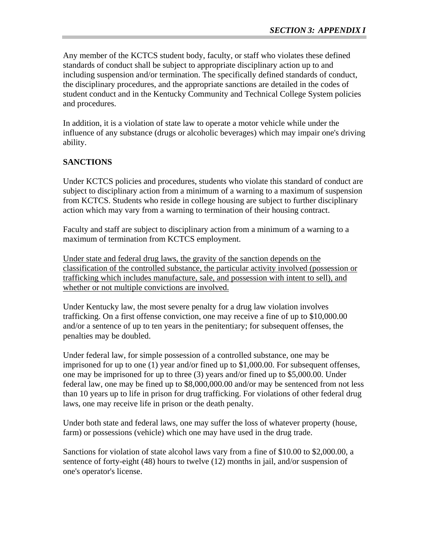Any member of the KCTCS student body, faculty, or staff who violates these defined standards of conduct shall be subject to appropriate disciplinary action up to and including suspension and/or termination. The specifically defined standards of conduct, the disciplinary procedures, and the appropriate sanctions are detailed in the codes of student conduct and in the Kentucky Community and Technical College System policies and procedures.

In addition, it is a violation of state law to operate a motor vehicle while under the influence of any substance (drugs or alcoholic beverages) which may impair one's driving ability.

#### **SANCTIONS**

Under KCTCS policies and procedures, students who violate this standard of conduct are subject to disciplinary action from a minimum of a warning to a maximum of suspension from KCTCS. Students who reside in college housing are subject to further disciplinary action which may vary from a warning to termination of their housing contract.

Faculty and staff are subject to disciplinary action from a minimum of a warning to a maximum of termination from KCTCS employment.

Under state and federal drug laws, the gravity of the sanction depends on the classification of the controlled substance, the particular activity involved (possession or trafficking which includes manufacture, sale, and possession with intent to sell), and whether or not multiple convictions are involved.

Under Kentucky law, the most severe penalty for a drug law violation involves trafficking. On a first offense conviction, one may receive a fine of up to \$10,000.00 and/or a sentence of up to ten years in the penitentiary; for subsequent offenses, the penalties may be doubled.

Under federal law, for simple possession of a controlled substance, one may be imprisoned for up to one (1) year and/or fined up to \$1,000.00. For subsequent offenses, one may be imprisoned for up to three (3) years and/or fined up to \$5,000.00. Under federal law, one may be fined up to \$8,000,000.00 and/or may be sentenced from not less than 10 years up to life in prison for drug trafficking. For violations of other federal drug laws, one may receive life in prison or the death penalty.

Under both state and federal laws, one may suffer the loss of whatever property (house, farm) or possessions (vehicle) which one may have used in the drug trade.

Sanctions for violation of state alcohol laws vary from a fine of \$10.00 to \$2,000.00, a sentence of forty-eight (48) hours to twelve (12) months in jail, and/or suspension of one's operator's license.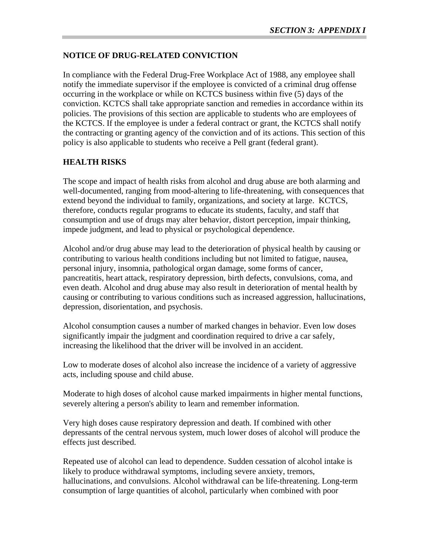#### **NOTICE OF DRUG-RELATED CONVICTION**

In compliance with the Federal Drug-Free Workplace Act of 1988, any employee shall notify the immediate supervisor if the employee is convicted of a criminal drug offense occurring in the workplace or while on KCTCS business within five (5) days of the conviction. KCTCS shall take appropriate sanction and remedies in accordance within its policies. The provisions of this section are applicable to students who are employees of the KCTCS. If the employee is under a federal contract or grant, the KCTCS shall notify the contracting or granting agency of the conviction and of its actions. This section of this policy is also applicable to students who receive a Pell grant (federal grant).

### **HEALTH RISKS**

The scope and impact of health risks from alcohol and drug abuse are both alarming and well-documented, ranging from mood-altering to life-threatening, with consequences that extend beyond the individual to family, organizations, and society at large. KCTCS, therefore, conducts regular programs to educate its students, faculty, and staff that consumption and use of drugs may alter behavior, distort perception, impair thinking, impede judgment, and lead to physical or psychological dependence.

Alcohol and/or drug abuse may lead to the deterioration of physical health by causing or contributing to various health conditions including but not limited to fatigue, nausea, personal injury, insomnia, pathological organ damage, some forms of cancer, pancreatitis, heart attack, respiratory depression, birth defects, convulsions, coma, and even death. Alcohol and drug abuse may also result in deterioration of mental health by causing or contributing to various conditions such as increased aggression, hallucinations, depression, disorientation, and psychosis.

Alcohol consumption causes a number of marked changes in behavior. Even low doses significantly impair the judgment and coordination required to drive a car safely, increasing the likelihood that the driver will be involved in an accident.

Low to moderate doses of alcohol also increase the incidence of a variety of aggressive acts, including spouse and child abuse.

Moderate to high doses of alcohol cause marked impairments in higher mental functions, severely altering a person's ability to learn and remember information.

Very high doses cause respiratory depression and death. If combined with other depressants of the central nervous system, much lower doses of alcohol will produce the effects just described.

Repeated use of alcohol can lead to dependence. Sudden cessation of alcohol intake is likely to produce withdrawal symptoms, including severe anxiety, tremors, hallucinations, and convulsions. Alcohol withdrawal can be life-threatening. Long-term consumption of large quantities of alcohol, particularly when combined with poor